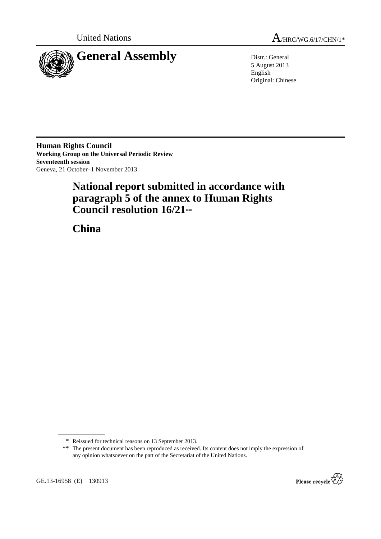

United Nations  $A_{HRC/WG.6/17/CHN/1*}$ 

5 August 2013 English Original: Chinese

**Human Rights Council Working Group on the Universal Periodic Review Seventeenth session**  Geneva, 21 October–1 November 2013

# **National report submitted in accordance with paragraph 5 of the annex to Human Rights Council resolution 16/21**\*\*

 **China** 

<sup>\*\*</sup> The present document has been reproduced as received. Its content does not imply the expression of any opinion whatsoever on the part of the Secretariat of the United Nations.



GE.13-16958 (E) 130913

<sup>\*</sup> Reissued for technical reasons on 13 September 2013.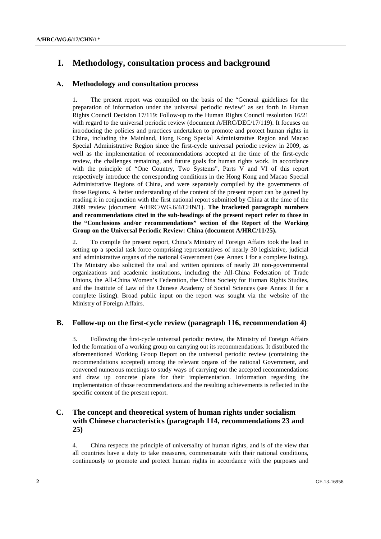## **I. Methodology, consultation process and background**

## **А. Methodology and consultation process**

1. The present report was compiled on the basis of the "General guidelines for the preparation of information under the universal periodic review" as set forth in Human Rights Council Decision 17/119: Follow-up to the Human Rights Council resolution 16/21 with regard to the universal periodic review (document A/HRC/DEC/17/119). It focuses on introducing the policies and practices undertaken to promote and protect human rights in China, including the Mainland, Hong Kong Special Administrative Region and Macao Special Administrative Region since the first-cycle universal periodic review in 2009, as well as the implementation of recommendations accepted at the time of the first-cycle review, the challenges remaining, and future goals for human rights work. In accordance with the principle of "One Country, Two Systems", Parts V and VI of this report respectively introduce the corresponding conditions in the Hong Kong and Macao Special Administrative Regions of China, and were separately compiled by the governments of those Regions. A better understanding of the content of the present report can be gained by reading it in conjunction with the first national report submitted by China at the time of the 2009 review (document A/HRC/WG.6/4/CHN/1). **The bracketed paragraph numbers and recommendations cited in the sub-headings of the present report refer to those in the "Conclusions and/or recommendations" section of the Report of the Working Group on the Universal Periodic Review: China (document A/HRC/11/25).**

2. To compile the present report, China's Ministry of Foreign Affairs took the lead in setting up a special task force comprising representatives of nearly 30 legislative, judicial and administrative organs of the national Government (see Annex I for a complete listing). The Ministry also solicited the oral and written opinions of nearly 20 non-governmental organizations and academic institutions, including the All-China Federation of Trade Unions, the All-China Women's Federation, the China Society for Human Rights Studies, and the Institute of Law of the Chinese Academy of Social Sciences (see Annex II for a complete listing). Broad public input on the report was sought via the website of the Ministry of Foreign Affairs.

## **B. Follow-up on the first-cycle review (paragraph 116, recommendation 4)**

3. Following the first-cycle universal periodic review, the Ministry of Foreign Affairs led the formation of a working group on carrying out its recommendations. It distributed the aforementioned Working Group Report on the universal periodic review (containing the recommendations accepted) among the relevant organs of the national Government, and convened numerous meetings to study ways of carrying out the accepted recommendations and draw up concrete plans for their implementation. Information regarding the implementation of those recommendations and the resulting achievements is reflected in the specific content of the present report.

## **C. The concept and theoretical system of human rights under socialism with Chinese characteristics (paragraph 114, recommendations 23 and 25)**

4. China respects the principle of universality of human rights, and is of the view that all countries have a duty to take measures, commensurate with their national conditions, continuously to promote and protect human rights in accordance with the purposes and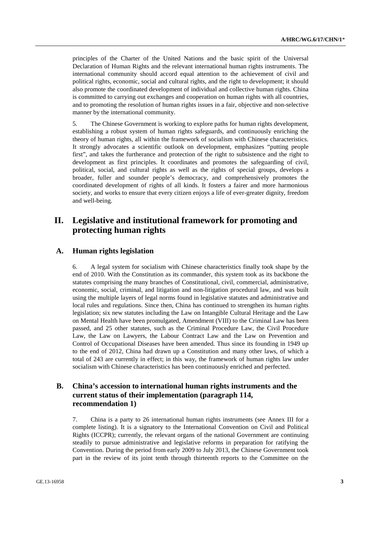principles of the Charter of the United Nations and the basic spirit of the Universal Declaration of Human Rights and the relevant international human rights instruments. The international community should accord equal attention to the achievement of civil and political rights, economic, social and cultural rights, and the right to development; it should also promote the coordinated development of individual and collective human rights. China is committed to carrying out exchanges and cooperation on human rights with all countries, and to promoting the resolution of human rights issues in a fair, objective and non-selective manner by the international community.

5. The Chinese Government is working to explore paths for human rights development, establishing a robust system of human rights safeguards, and continuously enriching the theory of human rights, all within the framework of socialism with Chinese characteristics. It strongly advocates a scientific outlook on development, emphasizes "putting people first", and takes the furtherance and protection of the right to subsistence and the right to development as first principles. It coordinates and promotes the safeguarding of civil, political, social, and cultural rights as well as the rights of special groups, develops a broader, fuller and sounder people's democracy, and comprehensively promotes the coordinated development of rights of all kinds. It fosters a fairer and more harmonious society, and works to ensure that every citizen enjoys a life of ever-greater dignity, freedom and well-being.

## **II. Legislative and institutional framework for promoting and protecting human rights**

## **A. Human rights legislation**

6. A legal system for socialism with Chinese characteristics finally took shape by the end of 2010. With the Constitution as its commander, this system took as its backbone the statutes comprising the many branches of Constitutional, civil, commercial, administrative, economic, social, criminal, and litigation and non-litigation procedural law, and was built using the multiple layers of legal norms found in legislative statutes and administrative and local rules and regulations. Since then, China has continued to strengthen its human rights legislation; six new statutes including the Law on Intangible Cultural Heritage and the Law on Mental Health have been promulgated, Amendment (VIII) to the Criminal Law has been passed, and 25 other statutes, such as the Criminal Procedure Law, the Civil Procedure Law, the Law on Lawyers, the Labour Contract Law and the Law on Prevention and Control of Occupational Diseases have been amended. Thus since its founding in 1949 up to the end of 2012, China had drawn up a Constitution and many other laws, of which a total of 243 are currently in effect; in this way, the framework of human rights law under socialism with Chinese characteristics has been continuously enriched and perfected.

## **B. China's accession to international human rights instruments and the current status of their implementation (paragraph 114, recommendation 1)**

7. China is a party to 26 international human rights instruments (see Annex III for a complete listing). It is a signatory to the International Convention on Civil and Political Rights (ICCPR); currently, the relevant organs of the national Government are continuing steadily to pursue administrative and legislative reforms in preparation for ratifying the Convention. During the period from early 2009 to July 2013, the Chinese Government took part in the review of its joint tenth through thirteenth reports to the Committee on the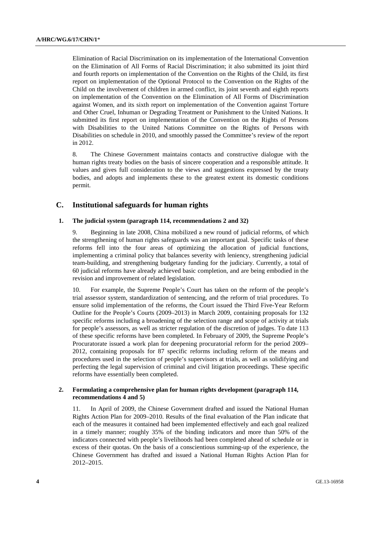Elimination of Racial Discrimination on its implementation of the International Convention on the Elimination of All Forms of Racial Discrimination; it also submitted its joint third and fourth reports on implementation of the Convention on the Rights of the Child, its first report on implementation of the Optional Protocol to the Convention on the Rights of the Child on the involvement of children in armed conflict, its joint seventh and eighth reports on implementation of the Convention on the Elimination of All Forms of Discrimination against Women, and its sixth report on implementation of the Convention against Torture and Other Cruel, Inhuman or Degrading Treatment or Punishment to the United Nations. It submitted its first report on implementation of the Convention on the Rights of Persons with Disabilities to the United Nations Committee on the Rights of Persons with Disabilities on schedule in 2010, and smoothly passed the Committee's review of the report in 2012.

8. The Chinese Government maintains contacts and constructive dialogue with the human rights treaty bodies on the basis of sincere cooperation and a responsible attitude. It values and gives full consideration to the views and suggestions expressed by the treaty bodies, and adopts and implements these to the greatest extent its domestic conditions permit.

## **C. Institutional safeguards for human rights**

#### **1. The judicial system (paragraph 114, recommendations 2 and 32)**

9. Beginning in late 2008, China mobilized a new round of judicial reforms, of which the strengthening of human rights safeguards was an important goal. Specific tasks of these reforms fell into the four areas of optimizing the allocation of judicial functions, implementing a criminal policy that balances severity with leniency, strengthening judicial team-building, and strengthening budgetary funding for the judiciary. Currently, a total of 60 judicial reforms have already achieved basic completion, and are being embodied in the revision and improvement of related legislation.

10. For example, the Supreme People's Court has taken on the reform of the people's trial assessor system, standardization of sentencing, and the reform of trial procedures. To ensure solid implementation of the reforms, the Court issued the Third Five-Year Reform Outline for the People's Courts (2009–2013) in March 2009, containing proposals for 132 specific reforms including a broadening of the selection range and scope of activity at trials for people's assessors, as well as stricter regulation of the discretion of judges. To date 113 of these specific reforms have been completed. In February of 2009, the Supreme People's Procuratorate issued a work plan for deepening procuratorial reform for the period 2009– 2012, containing proposals for 87 specific reforms including reform of the means and procedures used in the selection of people's supervisors at trials, as well as solidifying and perfecting the legal supervision of criminal and civil litigation proceedings. These specific reforms have essentially been completed.

### **2. Formulating a comprehensive plan for human rights development (paragraph 114, recommendations 4 and 5)**

11. In April of 2009, the Chinese Government drafted and issued the National Human Rights Action Plan for 2009–2010. Results of the final evaluation of the Plan indicate that each of the measures it contained had been implemented effectively and each goal realized in a timely manner; roughly 35% of the binding indicators and more than 50% of the indicators connected with people's livelihoods had been completed ahead of schedule or in excess of their quotas. On the basis of a conscientious summing-up of the experience, the Chinese Government has drafted and issued a National Human Rights Action Plan for 2012–2015.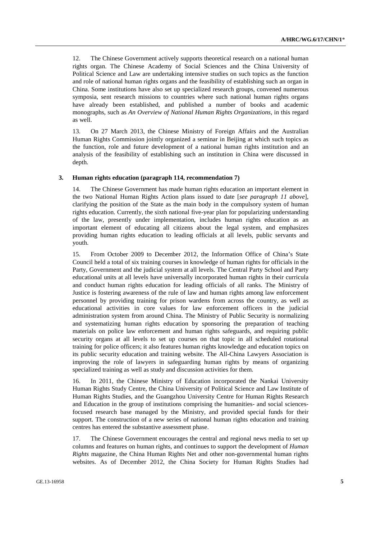12. The Chinese Government actively supports theoretical research on a national human rights organ. The Chinese Academy of Social Sciences and the China University of Political Science and Law are undertaking intensive studies on such topics as the function and role of national human rights organs and the feasibility of establishing such an organ in China. Some institutions have also set up specialized research groups, convened numerous symposia, sent research missions to countries where such national human rights organs have already been established, and published a number of books and academic monographs, such as *An Overview of National Human Rights Organizations*, in this regard as well.

13. On 27 March 2013, the Chinese Ministry of Foreign Affairs and the Australian Human Rights Commission jointly organized a seminar in Beijing at which such topics as the function, role and future development of a national human rights institution and an analysis of the feasibility of establishing such an institution in China were discussed in depth.

#### **3. Human rights education (paragraph 114, recommendation 7)**

14. The Chinese Government has made human rights education an important element in the two National Human Rights Action plans issued to date [*see paragraph 11 above*], clarifying the position of the State as the main body in the compulsory system of human rights education. Currently, the sixth national five-year plan for popularizing understanding of the law, presently under implementation, includes human rights education as an important element of educating all citizens about the legal system, and emphasizes providing human rights education to leading officials at all levels, public servants and youth.

15. From October 2009 to December 2012, the Information Office of China's State Council held a total of six training courses in knowledge of human rights for officials in the Party, Government and the judicial system at all levels. The Central Party School and Party educational units at all levels have universally incorporated human rights in their curricula and conduct human rights education for leading officials of all ranks. The Ministry of Justice is fostering awareness of the rule of law and human rights among law enforcement personnel by providing training for prison wardens from across the country, as well as educational activities in core values for law enforcement officers in the judicial administration system from around China. The Ministry of Public Security is normalizing and systematizing human rights education by sponsoring the preparation of teaching materials on police law enforcement and human rights safeguards, and requiring public security organs at all levels to set up courses on that topic in all scheduled rotational training for police officers; it also features human rights knowledge and education topics on its public security education and training website. The All-China Lawyers Association is improving the role of lawyers in safeguarding human rights by means of organizing specialized training as well as study and discussion activities for them.

16. In 2011, the Chinese Ministry of Education incorporated the Nankai University Human Rights Study Centre, the China University of Political Science and Law Institute of Human Rights Studies, and the Guangzhou University Centre for Human Rights Research and Education in the group of institutions comprising the humanities- and social sciencesfocused research base managed by the Ministry, and provided special funds for their support. The construction of a new series of national human rights education and training centres has entered the substantive assessment phase.

17. The Chinese Government encourages the central and regional news media to set up columns and features on human rights, and continues to support the development of *Human Rights* magazine, the China Human Rights Net and other non-governmental human rights websites. As of December 2012, the China Society for Human Rights Studies had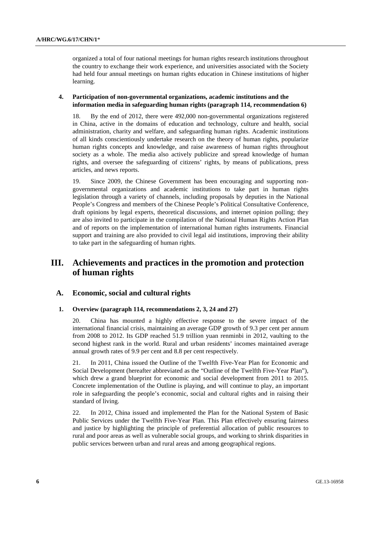organized a total of four national meetings for human rights research institutions throughout the country to exchange their work experience, and universities associated with the Society had held four annual meetings on human rights education in Chinese institutions of higher learning.

### **4. Participation of non-governmental organizations, academic institutions and the information media in safeguarding human rights (paragraph 114, recommendation 6)**

18. By the end of 2012, there were 492,000 non-governmental organizations registered in China, active in the domains of education and technology, culture and health, social administration, charity and welfare, and safeguarding human rights. Academic institutions of all kinds conscientiously undertake research on the theory of human rights, popularize human rights concepts and knowledge, and raise awareness of human rights throughout society as a whole. The media also actively publicize and spread knowledge of human rights, and oversee the safeguarding of citizens' rights, by means of publications, press articles, and news reports.

19. Since 2009, the Chinese Government has been encouraging and supporting nongovernmental organizations and academic institutions to take part in human rights legislation through a variety of channels, including proposals by deputies in the National People's Congress and members of the Chinese People's Political Consultative Conference, draft opinions by legal experts, theoretical discussions, and internet opinion polling; they are also invited to participate in the compilation of the National Human Rights Action Plan and of reports on the implementation of international human rights instruments. Financial support and training are also provided to civil legal aid institutions, improving their ability to take part in the safeguarding of human rights.

## **III. Achievements and practices in the promotion and protection of human rights**

### **A. Economic, social and cultural rights**

### **1. Overview (paragraph 114, recommendations 2, 3, 24 and 27)**

20. China has mounted a highly effective response to the severe impact of the international financial crisis, maintaining an average GDP growth of 9.3 per cent per annum from 2008 to 2012. Its GDP reached 51.9 trillion yuan renminbi in 2012, vaulting to the second highest rank in the world. Rural and urban residents' incomes maintained average annual growth rates of 9.9 per cent and 8.8 per cent respectively.

21. In 2011, China issued the Outline of the Twelfth Five-Year Plan for Economic and Social Development (hereafter abbreviated as the "Outline of the Twelfth Five-Year Plan"), which drew a grand blueprint for economic and social development from 2011 to 2015. Concrete implementation of the Outline is playing, and will continue to play, an important role in safeguarding the people's economic, social and cultural rights and in raising their standard of living.

22. In 2012, China issued and implemented the Plan for the National System of Basic Public Services under the Twelfth Five-Year Plan. This Plan effectively ensuring fairness and justice by highlighting the principle of preferential allocation of public resources to rural and poor areas as well as vulnerable social groups, and working to shrink disparities in public services between urban and rural areas and among geographical regions.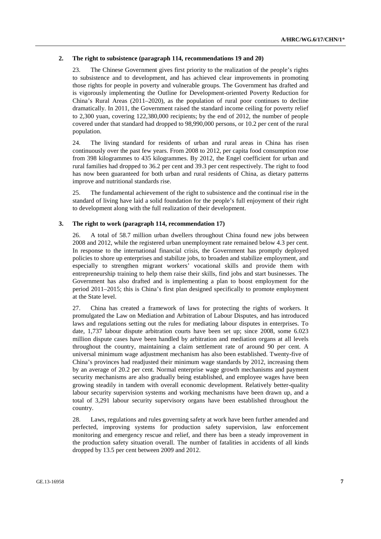### **2. The right to subsistence (paragraph 114, recommendations 19 and 20)**

23. The Chinese Government gives first priority to the realization of the people's rights to subsistence and to development, and has achieved clear improvements in promoting those rights for people in poverty and vulnerable groups. The Government has drafted and is vigorously implementing the Outline for Development-oriented Poverty Reduction for China's Rural Areas (2011–2020), as the population of rural poor continues to decline dramatically. In 2011, the Government raised the standard income ceiling for poverty relief to 2,300 yuan, covering 122,380,000 recipients; by the end of 2012, the number of people covered under that standard had dropped to 98,990,000 persons, or 10.2 per cent of the rural population.

24. The living standard for residents of urban and rural areas in China has risen continuously over the past few years. From 2008 to 2012, per capita food consumption rose from 398 kilogrammes to 435 kilogrammes. By 2012, the Engel coefficient for urban and rural families had dropped to 36.2 per cent and 39.3 per cent respectively. The right to food has now been guaranteed for both urban and rural residents of China, as dietary patterns improve and nutritional standards rise.

25. The fundamental achievement of the right to subsistence and the continual rise in the standard of living have laid a solid foundation for the people's full enjoyment of their right to development along with the full realization of their development.

### **3. The right to work (paragraph 114, recommendation 17)**

26. A total of 58.7 million urban dwellers throughout China found new jobs between 2008 and 2012, while the registered urban unemployment rate remained below 4.3 per cent. In response to the international financial crisis, the Government has promptly deployed policies to shore up enterprises and stabilize jobs, to broaden and stabilize employment, and especially to strengthen migrant workers' vocational skills and provide them with entrepreneurship training to help them raise their skills, find jobs and start businesses. The Government has also drafted and is implementing a plan to boost employment for the period 2011–2015; this is China's first plan designed specifically to promote employment at the State level.

27. China has created a framework of laws for protecting the rights of workers. It promulgated the Law on Mediation and Arbitration of Labour Disputes, and has introduced laws and regulations setting out the rules for mediating labour disputes in enterprises. To date, 1,737 labour dispute arbitration courts have been set up; since 2008, some 6.023 million dispute cases have been handled by arbitration and mediation organs at all levels throughout the country, maintaining a claim settlement rate of around 90 per cent. A universal minimum wage adjustment mechanism has also been established. Twenty-five of China's provinces had readjusted their minimum wage standards by 2012, increasing them by an average of 20.2 per cent. Normal enterprise wage growth mechanisms and payment security mechanisms are also gradually being established, and employee wages have been growing steadily in tandem with overall economic development. Relatively better-quality labour security supervision systems and working mechanisms have been drawn up, and a total of 3,291 labour security supervisory organs have been established throughout the country.

28. Laws, regulations and rules governing safety at work have been further amended and perfected, improving systems for production safety supervision, law enforcement monitoring and emergency rescue and relief, and there has been a steady improvement in the production safety situation overall. The number of fatalities in accidents of all kinds dropped by 13.5 per cent between 2009 and 2012.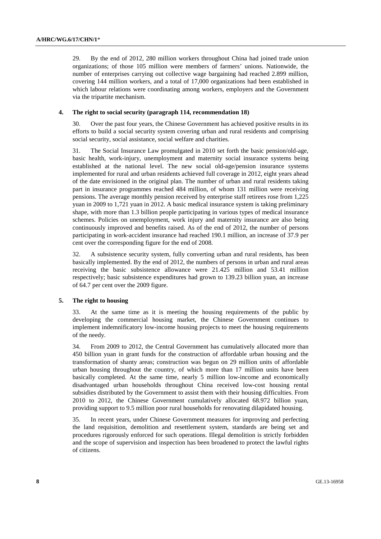29. By the end of 2012, 280 million workers throughout China had joined trade union organizations; of those 105 million were members of farmers' unions. Nationwide, the number of enterprises carrying out collective wage bargaining had reached 2.899 million, covering 144 million workers, and a total of 17,000 organizations had been established in which labour relations were coordinating among workers, employers and the Government via the tripartite mechanism.

#### **4. The right to social security (paragraph 114, recommendation 18)**

30. Over the past four years, the Chinese Government has achieved positive results in its efforts to build a social security system covering urban and rural residents and comprising social security, social assistance, social welfare and charities.

31. The Social Insurance Law promulgated in 2010 set forth the basic pension/old-age, basic health, work-injury, unemployment and maternity social insurance systems being established at the national level. The new social old-age/pension insurance systems implemented for rural and urban residents achieved full coverage in 2012, eight years ahead of the date envisioned in the original plan. The number of urban and rural residents taking part in insurance programmes reached 484 million, of whom 131 million were receiving pensions. The average monthly pension received by enterprise staff retirees rose from 1,225 yuan in 2009 to 1,721 yuan in 2012. A basic medical insurance system is taking preliminary shape, with more than 1.3 billion people participating in various types of medical insurance schemes. Policies on unemployment, work injury and maternity insurance are also being continuously improved and benefits raised. As of the end of 2012, the number of persons participating in work-accident insurance had reached 190.1 million, an increase of 37.9 per cent over the corresponding figure for the end of 2008.

32. A subsistence security system, fully converting urban and rural residents, has been basically implemented. By the end of 2012, the numbers of persons in urban and rural areas receiving the basic subsistence allowance were 21.425 million and 53.41 million respectively; basic subsistence expenditures had grown to 139.23 billion yuan, an increase of 64.7 per cent over the 2009 figure.

#### **5. The right to housing**

33. At the same time as it is meeting the housing requirements of the public by developing the commercial housing market, the Chinese Government continues to implement indemnificatory low-income housing projects to meet the housing requirements of the needy.

34. From 2009 to 2012, the Central Government has cumulatively allocated more than 450 billion yuan in grant funds for the construction of affordable urban housing and the transformation of shanty areas; construction was begun on 29 million units of affordable urban housing throughout the country, of which more than 17 million units have been basically completed. At the same time, nearly 5 million low-income and economically disadvantaged urban households throughout China received low-cost housing rental subsidies distributed by the Government to assist them with their housing difficulties. From 2010 to 2012, the Chinese Government cumulatively allocated 68.972 billion yuan, providing support to 9.5 million poor rural households for renovating dilapidated housing.

35. In recent years, under Chinese Government measures for improving and perfecting the land requisition, demolition and resettlement system, standards are being set and procedures rigorously enforced for such operations. Illegal demolition is strictly forbidden and the scope of supervision and inspection has been broadened to protect the lawful rights of citizens.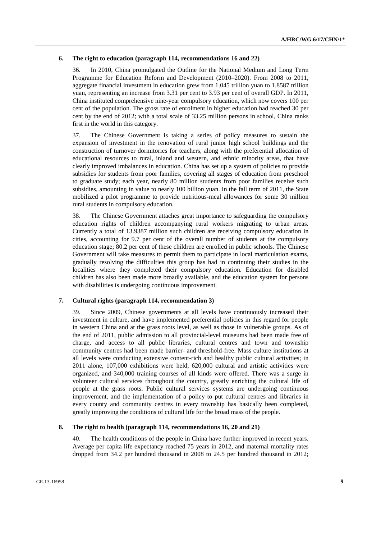### **6. The right to education (paragraph 114, recommendations 16 and 22)**

36. In 2010, China promulgated the Outline for the National Medium and Long Term Programme for Education Reform and Development (2010–2020). From 2008 to 2011, aggregate financial investment in education grew from 1.045 trillion yuan to 1.8587 trillion yuan, representing an increase from 3.31 per cent to 3.93 per cent of overall GDP. In 2011, China instituted comprehensive nine-year compulsory education, which now covers 100 per cent of the population. The gross rate of enrolment in higher education had reached 30 per cent by the end of 2012; with a total scale of 33.25 million persons in school, China ranks first in the world in this category.

37. The Chinese Government is taking a series of policy measures to sustain the expansion of investment in the renovation of rural junior high school buildings and the construction of turnover dormitories for teachers, along with the preferential allocation of educational resources to rural, inland and western, and ethnic minority areas, that have clearly improved imbalances in education. China has set up a system of policies to provide subsidies for students from poor families, covering all stages of education from preschool to graduate study; each year, nearly 80 million students from poor families receive such subsidies, amounting in value to nearly 100 billion yuan. In the fall term of 2011, the State mobilized a pilot programme to provide nutritious-meal allowances for some 30 million rural students in compulsory education.

38. The Chinese Government attaches great importance to safeguarding the compulsory education rights of children accompanying rural workers migrating to urban areas. Currently a total of 13.9387 million such children are receiving compulsory education in cities, accounting for 9.7 per cent of the overall number of students at the compulsory education stage; 80.2 per cent of these children are enrolled in public schools. The Chinese Government will take measures to permit them to participate in local matriculation exams, gradually resolving the difficulties this group has had in continuing their studies in the localities where they completed their compulsory education. Education for disabled children has also been made more broadly available, and the education system for persons with disabilities is undergoing continuous improvement.

### **7. Cultural rights (paragraph 114, recommendation 3)**

39. Since 2009, Chinese governments at all levels have continuously increased their investment in culture, and have implemented preferential policies in this regard for people in western China and at the grass roots level, as well as those in vulnerable groups. As of the end of 2011, public admission to all provincial-level museums had been made free of charge, and access to all public libraries, cultural centres and town and township community centres had been made barrier- and threshold-free. Mass culture institutions at all levels were conducting extensive content-rich and healthy public cultural activities; in 2011 alone, 107,000 exhibitions were held, 620,000 cultural and artistic activities were organized, and 340,000 training courses of all kinds were offered. There was a surge in volunteer cultural services throughout the country, greatly enriching the cultural life of people at the grass roots. Public cultural services systems are undergoing continuous improvement, and the implementation of a policy to put cultural centres and libraries in every county and community centres in every township has basically been completed, greatly improving the conditions of cultural life for the broad mass of the people.

#### **8. The right to health (paragraph 114, recommendations 16, 20 and 21)**

40. The health conditions of the people in China have further improved in recent years. Average per capita life expectancy reached 75 years in 2012, and maternal mortality rates dropped from 34.2 per hundred thousand in 2008 to 24.5 per hundred thousand in 2012;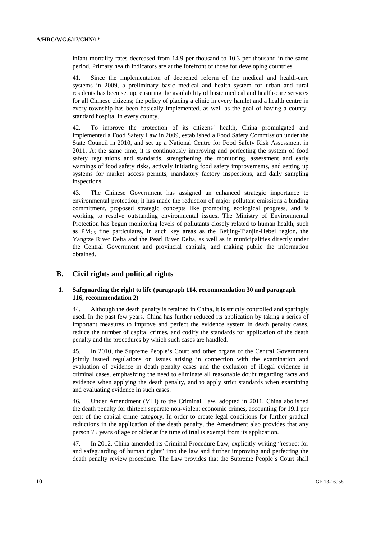infant mortality rates decreased from 14.9 per thousand to 10.3 per thousand in the same period. Primary health indicators are at the forefront of those for developing countries.

41. Since the implementation of deepened reform of the medical and health-care systems in 2009, a preliminary basic medical and health system for urban and rural residents has been set up, ensuring the availability of basic medical and health-care services for all Chinese citizens; the policy of placing a clinic in every hamlet and a health centre in every township has been basically implemented, as well as the goal of having a countystandard hospital in every county.

42. To improve the protection of its citizens' health, China promulgated and implemented a Food Safety Law in 2009, established a Food Safety Commission under the State Council in 2010, and set up a National Centre for Food Safety Risk Assessment in 2011. At the same time, it is continuously improving and perfecting the system of food safety regulations and standards, strengthening the monitoring, assessment and early warnings of food safety risks, actively initiating food safety improvements, and setting up systems for market access permits, mandatory factory inspections, and daily sampling inspections.

43. The Chinese Government has assigned an enhanced strategic importance to environmental protection; it has made the reduction of major pollutant emissions a binding commitment, proposed strategic concepts like promoting ecological progress, and is working to resolve outstanding environmental issues. The Ministry of Environmental Protection has begun monitoring levels of pollutants closely related to human health, such as  $PM_{2.5}$  fine particulates, in such key areas as the Beijing-Tianjin-Hebei region, the Yangtze River Delta and the Pearl River Delta, as well as in municipalities directly under the Central Government and provincial capitals, and making public the information obtained.

## **B. Civil rights and political rights**

### **1. Safeguarding the right to life (paragraph 114, recommendation 30 and paragraph 116, recommendation 2)**

44. Although the death penalty is retained in China, it is strictly controlled and sparingly used. In the past few years, China has further reduced its application by taking a series of important measures to improve and perfect the evidence system in death penalty cases, reduce the number of capital crimes, and codify the standards for application of the death penalty and the procedures by which such cases are handled.

45. In 2010, the Supreme People's Court and other organs of the Central Government jointly issued regulations on issues arising in connection with the examination and evaluation of evidence in death penalty cases and the exclusion of illegal evidence in criminal cases, emphasizing the need to eliminate all reasonable doubt regarding facts and evidence when applying the death penalty, and to apply strict standards when examining and evaluating evidence in such cases.

46. Under Amendment (VIII) to the Criminal Law, adopted in 2011, China abolished the death penalty for thirteen separate non-violent economic crimes, accounting for 19.1 per cent of the capital crime category. In order to create legal conditions for further gradual reductions in the application of the death penalty, the Amendment also provides that any person 75 years of age or older at the time of trial is exempt from its application.

47. In 2012, China amended its Criminal Procedure Law, explicitly writing "respect for and safeguarding of human rights" into the law and further improving and perfecting the death penalty review procedure. The Law provides that the Supreme People's Court shall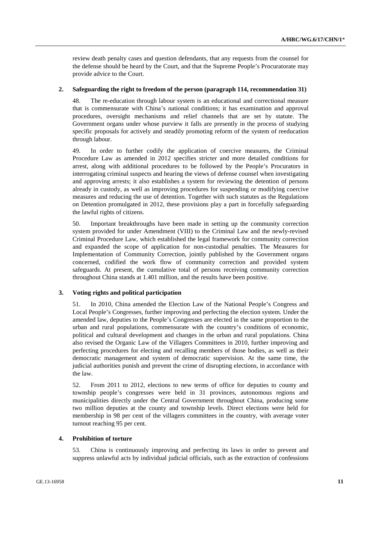review death penalty cases and question defendants, that any requests from the counsel for the defense should be heard by the Court, and that the Supreme People's Procuratorate may provide advice to the Court.

### **2. Safeguarding the right to freedom of the person (paragraph 114, recommendation 31)**

48. The re-education through labour system is an educational and correctional measure that is commensurate with China's national conditions; it has examination and approval procedures, oversight mechanisms and relief channels that are set by statute. The Government organs under whose purview it falls are presently in the process of studying specific proposals for actively and steadily promoting reform of the system of reeducation through labour.

49. In order to further codify the application of coercive measures, the Criminal Procedure Law as amended in 2012 specifies stricter and more detailed conditions for arrest, along with additional procedures to be followed by the People's Procurators in interrogating criminal suspects and hearing the views of defense counsel when investigating and approving arrests; it also establishes a system for reviewing the detention of persons already in custody, as well as improving procedures for suspending or modifying coercive measures and reducing the use of detention. Together with such statutes as the Regulations on Detention promulgated in 2012, these provisions play a part in forcefully safeguarding the lawful rights of citizens.

50. Important breakthroughs have been made in setting up the community correction system provided for under Amendment (VIII) to the Criminal Law and the newly-revised Criminal Procedure Law, which established the legal framework for community correction and expanded the scope of application for non-custodial penalties. The Measures for Implementation of Community Correction, jointly published by the Government organs concerned, codified the work flow of community correction and provided system safeguards. At present, the cumulative total of persons receiving community correction throughout China stands at 1.401 million, and the results have been positive.

#### **3. Voting rights and political participation**

51. In 2010, China amended the Election Law of the National People's Congress and Local People's Congresses, further improving and perfecting the election system. Under the amended law, deputies to the People's Congresses are elected in the same proportion to the urban and rural populations, commensurate with the country's conditions of economic, political and cultural development and changes in the urban and rural populations. China also revised the Organic Law of the Villagers Committees in 2010, further improving and perfecting procedures for electing and recalling members of those bodies, as well as their democratic management and system of democratic supervision. At the same time, the judicial authorities punish and prevent the crime of disrupting elections, in accordance with the law.

52. From 2011 to 2012, elections to new terms of office for deputies to county and township people's congresses were held in 31 provinces, autonomous regions and municipalities directly under the Central Government throughout China, producing some two million deputies at the county and township levels. Direct elections were held for membership in 98 per cent of the villagers committees in the country, with average voter turnout reaching 95 per cent.

#### **4. Prohibition of torture**

53. China is continuously improving and perfecting its laws in order to prevent and suppress unlawful acts by individual judicial officials, such as the extraction of confessions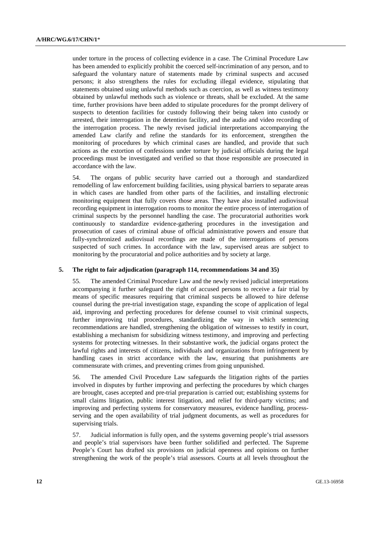under torture in the process of collecting evidence in a case. The Criminal Procedure Law has been amended to explicitly prohibit the coerced self-incrimination of any person, and to safeguard the voluntary nature of statements made by criminal suspects and accused persons; it also strengthens the rules for excluding illegal evidence, stipulating that statements obtained using unlawful methods such as coercion, as well as witness testimony obtained by unlawful methods such as violence or threats, shall be excluded. At the same time, further provisions have been added to stipulate procedures for the prompt delivery of suspects to detention facilities for custody following their being taken into custody or arrested, their interrogation in the detention facility, and the audio and video recording of the interrogation process. The newly revised judicial interpretations accompanying the amended Law clarify and refine the standards for its enforcement, strengthen the monitoring of procedures by which criminal cases are handled, and provide that such actions as the extortion of confessions under torture by judicial officials during the legal proceedings must be investigated and verified so that those responsible are prosecuted in accordance with the law.

54. The organs of public security have carried out a thorough and standardized remodelling of law enforcement building facilities, using physical barriers to separate areas in which cases are handled from other parts of the facilities, and installing electronic monitoring equipment that fully covers those areas. They have also installed audiovisual recording equipment in interrogation rooms to monitor the entire process of interrogation of criminal suspects by the personnel handling the case. The procuratorial authorities work continuously to standardize evidence-gathering procedures in the investigation and prosecution of cases of criminal abuse of official administrative powers and ensure that fully-synchronized audiovisual recordings are made of the interrogations of persons suspected of such crimes. In accordance with the law, supervised areas are subject to monitoring by the procuratorial and police authorities and by society at large.

#### **5. The right to fair adjudication (paragraph 114, recommendations 34 and 35)**

55. The amended Criminal Procedure Law and the newly revised judicial interpretations accompanying it further safeguard the right of accused persons to receive a fair trial by means of specific measures requiring that criminal suspects be allowed to hire defense counsel during the pre-trial investigation stage, expanding the scope of application of legal aid, improving and perfecting procedures for defense counsel to visit criminal suspects, further improving trial procedures, standardizing the way in which sentencing recommendations are handled, strengthening the obligation of witnesses to testify in court, establishing a mechanism for subsidizing witness testimony, and improving and perfecting systems for protecting witnesses. In their substantive work, the judicial organs protect the lawful rights and interests of citizens, individuals and organizations from infringement by handling cases in strict accordance with the law, ensuring that punishments are commensurate with crimes, and preventing crimes from going unpunished.

56. The amended Civil Procedure Law safeguards the litigation rights of the parties involved in disputes by further improving and perfecting the procedures by which charges are brought, cases accepted and pre-trial preparation is carried out; establishing systems for small claims litigation, public interest litigation, and relief for third-party victims; and improving and perfecting systems for conservatory measures, evidence handling, processserving and the open availability of trial judgment documents, as well as procedures for supervising trials.

57. Judicial information is fully open, and the systems governing people's trial assessors and people's trial supervisors have been further solidified and perfected. The Supreme People's Court has drafted six provisions on judicial openness and opinions on further strengthening the work of the people's trial assessors. Courts at all levels throughout the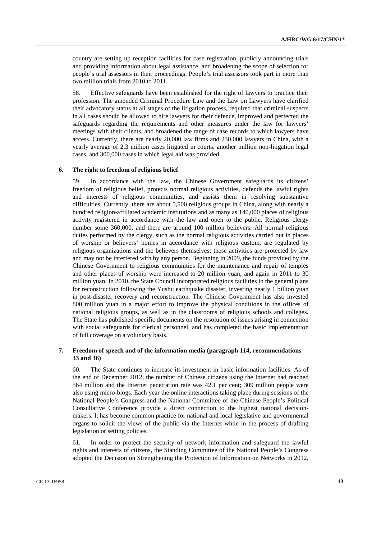country are setting up reception facilities for case registration, publicly announcing trials and providing information about legal assistance, and broadening the scope of selection for people's trial assessors in their proceedings. People's trial assessors took part in more than two million trials from 2010 to 2011.

58. Effective safeguards have been established for the right of lawyers to practice their profession. The amended Criminal Procedure Law and the Law on Lawyers have clarified their advocatory status at all stages of the litigation process, required that criminal suspects in all cases should be allowed to hire lawyers for their defence, improved and perfected the safeguards regarding the requirements and other measures under the law for lawyers' meetings with their clients, and broadened the range of case records to which lawyers have access. Currently, there are nearly 20,000 law firms and 230,000 lawyers in China, with a yearly average of 2.3 million cases litigated in courts, another million non-litigation legal cases, and 300,000 cases in which legal aid was provided.

#### **6. The right to freedom of religious belief**

59. In accordance with the law, the Chinese Government safeguards its citizens' freedom of religious belief, protects normal religious activities, defends the lawful rights and interests of religious communities, and assists them in resolving substantive difficulties. Currently, there are about 5,500 religious groups in China, along with nearly a hundred religion-affiliated academic institutions and as many as 140,000 places of religious activity registered in accordance with the law and open to the public. Religious clergy number some 360,000, and there are around 100 million believers. All normal religious duties performed by the clergy, such as the normal religious activities carried out in places of worship or believers' homes in accordance with religious custom, are regulated by religious organizations and the believers themselves; these activities are protected by law and may not be interfered with by any person. Beginning in 2009, the funds provided by the Chinese Government to religious communities for the maintenance and repair of temples and other places of worship were increased to 20 million yuan, and again in 2011 to 30 million yuan. In 2010, the State Council incorporated religious facilities in the general plans for reconstruction following the Yushu earthquake disaster, investing nearly 1 billion yuan in post-disaster recovery and reconstruction. The Chinese Government has also invested 800 million yuan in a major effort to improve the physical conditions in the offices of national religious groups, as well as in the classrooms of religious schools and colleges. The State has published specific documents on the resolution of issues arising in connection with social safeguards for clerical personnel, and has completed the basic implementation of full coverage on a voluntary basis.

### **7. Freedom of speech and of the information media (paragraph 114, recommendations 33 and 36)**

60. The State continues to increase its investment in basic information facilities. As of the end of December 2012, the number of Chinese citizens using the Internet had reached 564 million and the Internet penetration rate was 42.1 per cent; 309 million people were also using micro-blogs. Each year the online interactions taking place during sessions of the National People's Congress and the National Committee of the Chinese People's Political Consultative Conference provide a direct connection to the highest national decisionmakers. It has become common practice for national and local legislative and governmental organs to solicit the views of the public via the Internet while in the process of drafting legislation or setting policies.

61. In order to protect the security of network information and safeguard the lawful rights and interests of citizens, the Standing Committee of the National People's Congress adopted the Decision on Strengthening the Protection of Information on Networks in 2012,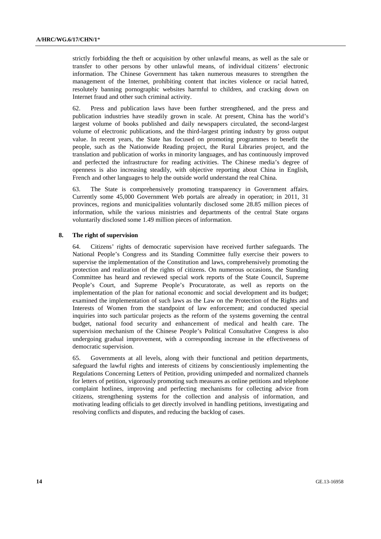strictly forbidding the theft or acquisition by other unlawful means, as well as the sale or transfer to other persons by other unlawful means, of individual citizens' electronic information. The Chinese Government has taken numerous measures to strengthen the management of the Internet, prohibiting content that incites violence or racial hatred, resolutely banning pornographic websites harmful to children, and cracking down on Internet fraud and other such criminal activity.

62. Press and publication laws have been further strengthened, and the press and publication industries have steadily grown in scale. At present, China has the world's largest volume of books published and daily newspapers circulated, the second-largest volume of electronic publications, and the third-largest printing industry by gross output value. In recent years, the State has focused on promoting programmes to benefit the people, such as the Nationwide Reading project, the Rural Libraries project, and the translation and publication of works in minority languages, and has continuously improved and perfected the infrastructure for reading activities. The Chinese media's degree of openness is also increasing steadily, with objective reporting about China in English, French and other languages to help the outside world understand the real China.

63. The State is comprehensively promoting transparency in Government affairs. Currently some 45,000 Government Web portals are already in operation; in 2011, 31 provinces, regions and municipalities voluntarily disclosed some 28.85 million pieces of information, while the various ministries and departments of the central State organs voluntarily disclosed some 1.49 million pieces of information.

#### **8. The right of supervision**

64. Citizens' rights of democratic supervision have received further safeguards. The National People's Congress and its Standing Committee fully exercise their powers to supervise the implementation of the Constitution and laws, comprehensively promoting the protection and realization of the rights of citizens. On numerous occasions, the Standing Committee has heard and reviewed special work reports of the State Council, Supreme People's Court, and Supreme People's Procuratorate, as well as reports on the implementation of the plan for national economic and social development and its budget; examined the implementation of such laws as the Law on the Protection of the Rights and Interests of Women from the standpoint of law enforcement; and conducted special inquiries into such particular projects as the reform of the systems governing the central budget, national food security and enhancement of medical and health care. The supervision mechanism of the Chinese People's Political Consultative Congress is also undergoing gradual improvement, with a corresponding increase in the effectiveness of democratic supervision.

65. Governments at all levels, along with their functional and petition departments, safeguard the lawful rights and interests of citizens by conscientiously implementing the Regulations Concerning Letters of Petition, providing unimpeded and normalized channels for letters of petition, vigorously promoting such measures as online petitions and telephone complaint hotlines, improving and perfecting mechanisms for collecting advice from citizens, strengthening systems for the collection and analysis of information, and motivating leading officials to get directly involved in handling petitions, investigating and resolving conflicts and disputes, and reducing the backlog of cases.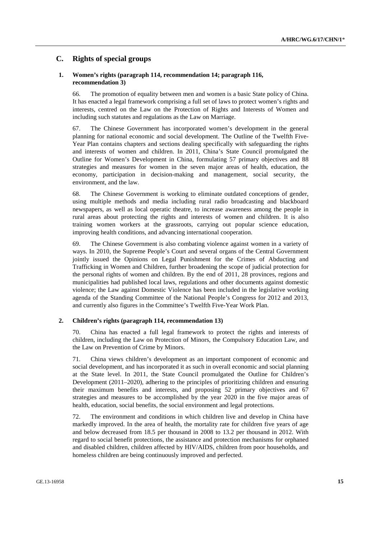## **C. Rights of special groups**

### **1. Women's rights (paragraph 114, recommendation 14; paragraph 116, recommendation 3)**

66. The promotion of equality between men and women is a basic State policy of China. It has enacted a legal framework comprising a full set of laws to protect women's rights and interests, centred on the Law on the Protection of Rights and Interests of Women and including such statutes and regulations as the Law on Marriage.

67. The Chinese Government has incorporated women's development in the general planning for national economic and social development. The Outline of the Twelfth Five-Year Plan contains chapters and sections dealing specifically with safeguarding the rights and interests of women and children. In 2011, China's State Council promulgated the Outline for Women's Development in China, formulating 57 primary objectives and 88 strategies and measures for women in the seven major areas of health, education, the economy, participation in decision-making and management, social security, the environment, and the law.

68. The Chinese Government is working to eliminate outdated conceptions of gender, using multiple methods and media including rural radio broadcasting and blackboard newspapers, as well as local operatic theatre, to increase awareness among the people in rural areas about protecting the rights and interests of women and children. It is also training women workers at the grassroots, carrying out popular science education, improving health conditions, and advancing international cooperation.

69. The Chinese Government is also combating violence against women in a variety of ways. In 2010, the Supreme People's Court and several organs of the Central Government jointly issued the Opinions on Legal Punishment for the Crimes of Abducting and Trafficking in Women and Children, further broadening the scope of judicial protection for the personal rights of women and children. By the end of 2011, 28 provinces, regions and municipalities had published local laws, regulations and other documents against domestic violence; the Law against Domestic Violence has been included in the legislative working agenda of the Standing Committee of the National People's Congress for 2012 and 2013, and currently also figures in the Committee's Twelfth Five-Year Work Plan.

#### **2. Children's rights (paragraph 114, recommendation 13)**

70. China has enacted a full legal framework to protect the rights and interests of children, including the Law on Protection of Minors, the Compulsory Education Law, and the Law on Prevention of Crime by Minors.

71. China views children's development as an important component of economic and social development, and has incorporated it as such in overall economic and social planning at the State level. In 2011, the State Council promulgated the Outline for Children's Development (2011–2020), adhering to the principles of prioritizing children and ensuring their maximum benefits and interests, and proposing 52 primary objectives and 67 strategies and measures to be accomplished by the year 2020 in the five major areas of health, education, social benefits, the social environment and legal protections.

72. The environment and conditions in which children live and develop in China have markedly improved. In the area of health, the mortality rate for children five years of age and below decreased from 18.5 per thousand in 2008 to 13.2 per thousand in 2012. With regard to social benefit protections, the assistance and protection mechanisms for orphaned and disabled children, children affected by HIV/AIDS, children from poor households, and homeless children are being continuously improved and perfected.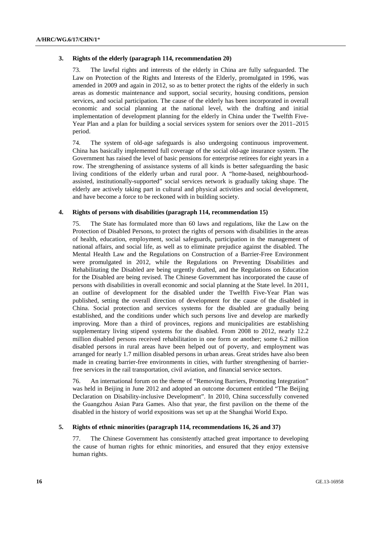### **3. Rights of the elderly (paragraph 114, recommendation 20)**

73. The lawful rights and interests of the elderly in China are fully safeguarded. The Law on Protection of the Rights and Interests of the Elderly, promulgated in 1996, was amended in 2009 and again in 2012, so as to better protect the rights of the elderly in such areas as domestic maintenance and support, social security, housing conditions, pension services, and social participation. The cause of the elderly has been incorporated in overall economic and social planning at the national level, with the drafting and initial implementation of development planning for the elderly in China under the Twelfth Five-Year Plan and a plan for building a social services system for seniors over the 2011–2015 period.

74. The system of old-age safeguards is also undergoing continuous improvement. China has basically implemented full coverage of the social old-age insurance system. The Government has raised the level of basic pensions for enterprise retirees for eight years in a row. The strengthening of assistance systems of all kinds is better safeguarding the basic living conditions of the elderly urban and rural poor. A "home-based, neighbourhoodassisted, institutionally-supported" social services network is gradually taking shape. The elderly are actively taking part in cultural and physical activities and social development, and have become a force to be reckoned with in building society.

### **4. Rights of persons with disabilities (paragraph 114, recommendation 15)**

75. The State has formulated more than 60 laws and regulations, like the Law on the Protection of Disabled Persons, to protect the rights of persons with disabilities in the areas of health, education, employment, social safeguards, participation in the management of national affairs, and social life, as well as to eliminate prejudice against the disabled. The Mental Health Law and the Regulations on Construction of a Barrier-Free Environment were promulgated in 2012, while the Regulations on Preventing Disabilities and Rehabilitating the Disabled are being urgently drafted, and the Regulations on Education for the Disabled are being revised. The Chinese Government has incorporated the cause of persons with disabilities in overall economic and social planning at the State level. In 2011, an outline of development for the disabled under the Twelfth Five-Year Plan was published, setting the overall direction of development for the cause of the disabled in China. Social protection and services systems for the disabled are gradually being established, and the conditions under which such persons live and develop are markedly improving. More than a third of provinces, regions and municipalities are establishing supplementary living stipend systems for the disabled. From 2008 to 2012, nearly 12.2 million disabled persons received rehabilitation in one form or another; some 6.2 million disabled persons in rural areas have been helped out of poverty, and employment was arranged for nearly 1.7 million disabled persons in urban areas. Great strides have also been made in creating barrier-free environments in cities, with further strengthening of barrierfree services in the rail transportation, civil aviation, and financial service sectors.

76. An international forum on the theme of "Removing Barriers, Promoting Integration" was held in Beijing in June 2012 and adopted an outcome document entitled "The Beijing Declaration on Disability-inclusive Development". In 2010, China successfully convened the Guangzhou Asian Para Games. Also that year, the first pavilion on the theme of the disabled in the history of world expositions was set up at the Shanghai World Expo.

#### **5. Rights of ethnic minorities (paragraph 114, recommendations 16, 26 and 37)**

77. The Chinese Government has consistently attached great importance to developing the cause of human rights for ethnic minorities, and ensured that they enjoy extensive human rights.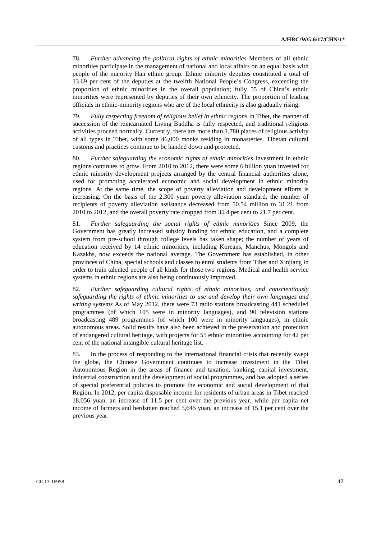78. *Further advancing the political rights of ethnic minorities* Members of all ethnic minorities participate in the management of national and local affairs on an equal basis with people of the majority Han ethnic group. Ethnic minority deputies constituted a total of 13.69 per cent of the deputies at the twelfth National People's Congress, exceeding the proportion of ethnic minorities in the overall population; fully 55 of China's ethnic minorities were represented by deputies of their own ethnicity. The proportion of leading officials in ethnic-minority regions who are of the local ethnicity is also gradually rising.

79. *Fully respecting freedom of religious belief in ethnic regions* In Tibet, the manner of succession of the reincarnated Living Buddha is fully respected, and traditional religious activities proceed normally. Currently, there are more than 1,780 places of religious activity of all types in Tibet, with some 46,000 monks residing in monasteries. Tibetan cultural customs and practices continue to be handed down and protected.

80. *Further safeguarding the economic rights of ethnic minorities* Investment in ethnic regions continues to grow. From 2010 to 2012, there were some 6 billion yuan invested for ethnic minority development projects arranged by the central financial authorities alone, used for promoting accelerated economic and social development in ethnic minority regions. At the same time, the scope of poverty alleviation and development efforts is increasing. On the basis of the 2,300 yuan poverty alleviation standard, the number of recipients of poverty alleviation assistance decreased from 50.54 million to 31.21 from 2010 to 2012, and the overall poverty rate dropped from 35.4 per cent to 21.7 per cent.

81. *Further safeguarding the social rights of ethnic minorities* Since 2009, the Government has greatly increased subsidy funding for ethnic education, and a complete system from pre-school through college levels has taken shape; the number of years of education received by 14 ethnic minorities, including Koreans, Manchus, Mongols and Kazakhs, now exceeds the national average. The Government has established, in other provinces of China, special schools and classes to enrol students from Tibet and Xinjiang in order to train talented people of all kinds for those two regions. Medical and health service systems in ethnic regions are also being continuously improved.

82. *Further safeguarding cultural rights of ethnic minorities, and conscientiously safeguarding the rights of ethnic minorities to use and develop their own languages and writing systems* As of May 2012, there were 73 radio stations broadcasting 441 scheduled programmes (of which 105 were in minority languages), and 90 television stations broadcasting 489 programmes (of which 100 were in minority languages), in ethnic autonomous areas. Solid results have also been achieved in the preservation and protection of endangered cultural heritage, with projects for 55 ethnic minorities accounting for 42 per cent of the national intangible cultural heritage list.

83. In the process of responding to the international financial crisis that recently swept the globe, the Chinese Government continues to increase investment in the Tibet Autonomous Region in the areas of finance and taxation, banking, capital investment, industrial construction and the development of social programmes, and has adopted a series of special preferential policies to promote the economic and social development of that Region. In 2012, per capita disposable income for residents of urban areas in Tibet reached 18,056 yuan, an increase of 11.5 per cent over the previous year, while per capita net income of farmers and herdsmen reached 5,645 yuan, an increase of 15.1 per cent over the previous year.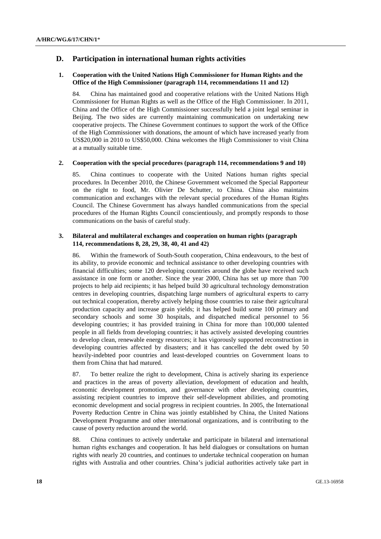## **D. Participation in international human rights activities**

### **1. Cooperation with the United Nations High Commissioner for Human Rights and the Office of the High Commissioner (paragraph 114, recommendations 11 and 12)**

84. China has maintained good and cooperative relations with the United Nations High Commissioner for Human Rights as well as the Office of the High Commissioner. In 2011, China and the Office of the High Commissioner successfully held a joint legal seminar in Beijing. The two sides are currently maintaining communication on undertaking new cooperative projects. The Chinese Government continues to support the work of the Office of the High Commissioner with donations, the amount of which have increased yearly from US\$20,000 in 2010 to US\$50,000. China welcomes the High Commissioner to visit China at a mutually suitable time.

#### **2. Cooperation with the special procedures (paragraph 114, recommendations 9 and 10)**

85. China continues to cooperate with the United Nations human rights special procedures. In December 2010, the Chinese Government welcomed the Special Rapporteur on the right to food, Mr. Olivier De Schutter, to China. China also maintains communication and exchanges with the relevant special procedures of the Human Rights Council. The Chinese Government has always handled communications from the special procedures of the Human Rights Council conscientiously, and promptly responds to those communications on the basis of careful study.

### **3. Bilateral and multilateral exchanges and cooperation on human rights (paragraph 114, recommendations 8, 28, 29, 38, 40, 41 and 42)**

86. Within the framework of South-South cooperation, China endeavours, to the best of its ability, to provide economic and technical assistance to other developing countries with financial difficulties; some 120 developing countries around the globe have received such assistance in one form or another. Since the year 2000, China has set up more than 700 projects to help aid recipients; it has helped build 30 agricultural technology demonstration centres in developing countries, dispatching large numbers of agricultural experts to carry out technical cooperation, thereby actively helping those countries to raise their agricultural production capacity and increase grain yields; it has helped build some 100 primary and secondary schools and some 30 hospitals, and dispatched medical personnel to 56 developing countries; it has provided training in China for more than 100,000 talented people in all fields from developing countries; it has actively assisted developing countries to develop clean, renewable energy resources; it has vigorously supported reconstruction in developing countries affected by disasters; and it has cancelled the debt owed by 50 heavily-indebted poor countries and least-developed countries on Government loans to them from China that had matured.

87. To better realize the right to development, China is actively sharing its experience and practices in the areas of poverty alleviation, development of education and health, economic development promotion, and governance with other developing countries, assisting recipient countries to improve their self-development abilities, and promoting economic development and social progress in recipient countries. In 2005, the International Poverty Reduction Centre in China was jointly established by China, the United Nations Development Programme and other international organizations, and is contributing to the cause of poverty reduction around the world.

88. China continues to actively undertake and participate in bilateral and international human rights exchanges and cooperation. It has held dialogues or consultations on human rights with nearly 20 countries, and continues to undertake technical cooperation on human rights with Australia and other countries. China's judicial authorities actively take part in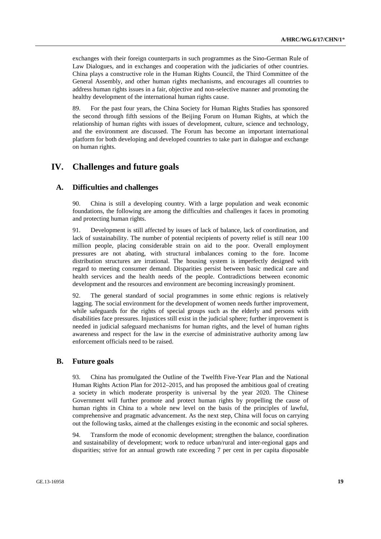exchanges with their foreign counterparts in such programmes as the Sino-German Rule of Law Dialogues, and in exchanges and cooperation with the judiciaries of other countries. China plays a constructive role in the Human Rights Council, the Third Committee of the General Assembly, and other human rights mechanisms, and encourages all countries to address human rights issues in a fair, objective and non-selective manner and promoting the healthy development of the international human rights cause.

89. For the past four years, the China Society for Human Rights Studies has sponsored the second through fifth sessions of the Beijing Forum on Human Rights, at which the relationship of human rights with issues of development, culture, science and technology, and the environment are discussed. The Forum has become an important international platform for both developing and developed countries to take part in dialogue and exchange on human rights.

## **IV. Challenges and future goals**

### **A. Difficulties and challenges**

90. China is still a developing country. With a large population and weak economic foundations, the following are among the difficulties and challenges it faces in promoting and protecting human rights.

91. Development is still affected by issues of lack of balance, lack of coordination, and lack of sustainability. The number of potential recipients of poverty relief is still near 100 million people, placing considerable strain on aid to the poor. Overall employment pressures are not abating, with structural imbalances coming to the fore. Income distribution structures are irrational. The housing system is imperfectly designed with regard to meeting consumer demand. Disparities persist between basic medical care and health services and the health needs of the people. Contradictions between economic development and the resources and environment are becoming increasingly prominent.

92. The general standard of social programmes in some ethnic regions is relatively lagging. The social environment for the development of women needs further improvement, while safeguards for the rights of special groups such as the elderly and persons with disabilities face pressures. Injustices still exist in the judicial sphere; further improvement is needed in judicial safeguard mechanisms for human rights, and the level of human rights awareness and respect for the law in the exercise of administrative authority among law enforcement officials need to be raised.

## **B. Future goals**

93. China has promulgated the Outline of the Twelfth Five-Year Plan and the National Human Rights Action Plan for 2012–2015, and has proposed the ambitious goal of creating a society in which moderate prosperity is universal by the year 2020. The Chinese Government will further promote and protect human rights by propelling the cause of human rights in China to a whole new level on the basis of the principles of lawful, comprehensive and pragmatic advancement. As the next step, China will focus on carrying out the following tasks, aimed at the challenges existing in the economic and social spheres.

94. Transform the mode of economic development; strengthen the balance, coordination and sustainability of development; work to reduce urban/rural and inter-regional gaps and disparities; strive for an annual growth rate exceeding 7 per cent in per capita disposable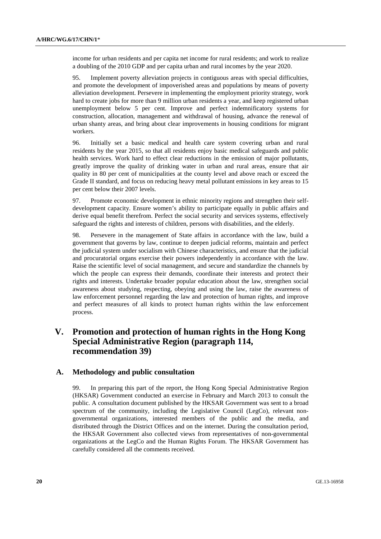income for urban residents and per capita net income for rural residents; and work to realize a doubling of the 2010 GDP and per capita urban and rural incomes by the year 2020.

95. Implement poverty alleviation projects in contiguous areas with special difficulties, and promote the development of impoverished areas and populations by means of poverty alleviation development. Persevere in implementing the employment priority strategy, work hard to create jobs for more than 9 million urban residents a year, and keep registered urban unemployment below 5 per cent. Improve and perfect indemnificatory systems for construction, allocation, management and withdrawal of housing, advance the renewal of urban shanty areas, and bring about clear improvements in housing conditions for migrant workers.

96. Initially set a basic medical and health care system covering urban and rural residents by the year 2015, so that all residents enjoy basic medical safeguards and public health services. Work hard to effect clear reductions in the emission of major pollutants, greatly improve the quality of drinking water in urban and rural areas, ensure that air quality in 80 per cent of municipalities at the county level and above reach or exceed the Grade II standard, and focus on reducing heavy metal pollutant emissions in key areas to 15 per cent below their 2007 levels.

97. Promote economic development in ethnic minority regions and strengthen their selfdevelopment capacity. Ensure women's ability to participate equally in public affairs and derive equal benefit therefrom. Perfect the social security and services systems, effectively safeguard the rights and interests of children, persons with disabilities, and the elderly.

98. Persevere in the management of State affairs in accordance with the law, build a government that governs by law, continue to deepen judicial reforms, maintain and perfect the judicial system under socialism with Chinese characteristics, and ensure that the judicial and procuratorial organs exercise their powers independently in accordance with the law. Raise the scientific level of social management, and secure and standardize the channels by which the people can express their demands, coordinate their interests and protect their rights and interests. Undertake broader popular education about the law, strengthen social awareness about studying, respecting, obeying and using the law, raise the awareness of law enforcement personnel regarding the law and protection of human rights, and improve and perfect measures of all kinds to protect human rights within the law enforcement process.

## **V. Promotion and protection of human rights in the Hong Kong Special Administrative Region (paragraph 114, recommendation 39)**

## **A. Methodology and public consultation**

99. In preparing this part of the report, the Hong Kong Special Administrative Region (HKSAR) Government conducted an exercise in February and March 2013 to consult the public. A consultation document published by the HKSAR Government was sent to a broad spectrum of the community, including the Legislative Council (LegCo), relevant nongovernmental organizations, interested members of the public and the media, and distributed through the District Offices and on the internet. During the consultation period, the HKSAR Government also collected views from representatives of non-governmental organizations at the LegCo and the Human Rights Forum. The HKSAR Government has carefully considered all the comments received.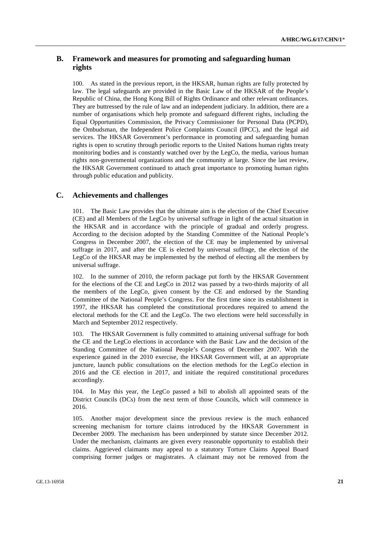## **B. Framework and measures for promoting and safeguarding human rights**

100. As stated in the previous report, in the HKSAR, human rights are fully protected by law. The legal safeguards are provided in the Basic Law of the HKSAR of the People's Republic of China, the Hong Kong Bill of Rights Ordinance and other relevant ordinances. They are buttressed by the rule of law and an independent judiciary. In addition, there are a number of organisations which help promote and safeguard different rights, including the Equal Opportunities Commission, the Privacy Commissioner for Personal Data (PCPD), the Ombudsman, the Independent Police Complaints Council (IPCC), and the legal aid services. The HKSAR Government's performance in promoting and safeguarding human rights is open to scrutiny through periodic reports to the United Nations human rights treaty monitoring bodies and is constantly watched over by the LegCo, the media, various human rights non-governmental organizations and the community at large. Since the last review, the HKSAR Government continued to attach great importance to promoting human rights through public education and publicity.

## **C. Achievements and challenges**

101. The Basic Law provides that the ultimate aim is the election of the Chief Executive (CE) and all Members of the LegCo by universal suffrage in light of the actual situation in the HKSAR and in accordance with the principle of gradual and orderly progress. According to the decision adopted by the Standing Committee of the National People's Congress in December 2007, the election of the CE may be implemented by universal suffrage in 2017, and after the CE is elected by universal suffrage, the election of the LegCo of the HKSAR may be implemented by the method of electing all the members by universal suffrage.

102. In the summer of 2010, the reform package put forth by the HKSAR Government for the elections of the CE and LegCo in 2012 was passed by a two-thirds majority of all the members of the LegCo, given consent by the CE and endorsed by the Standing Committee of the National People's Congress. For the first time since its establishment in 1997, the HKSAR has completed the constitutional procedures required to amend the electoral methods for the CE and the LegCo. The two elections were held successfully in March and September 2012 respectively.

103. The HKSAR Government is fully committed to attaining universal suffrage for both the CE and the LegCo elections in accordance with the Basic Law and the decision of the Standing Committee of the National People's Congress of December 2007. With the experience gained in the 2010 exercise, the HKSAR Government will, at an appropriate juncture, launch public consultations on the election methods for the LegCo election in 2016 and the CE election in 2017, and initiate the required constitutional procedures accordingly.

104. In May this year, the LegCo passed a bill to abolish all appointed seats of the District Councils (DCs) from the next term of those Councils, which will commence in 2016.

105. Another major development since the previous review is the much enhanced screening mechanism for torture claims introduced by the HKSAR Government in December 2009. The mechanism has been underpinned by statute since December 2012. Under the mechanism, claimants are given every reasonable opportunity to establish their claims. Aggrieved claimants may appeal to a statutory Torture Claims Appeal Board comprising former judges or magistrates. A claimant may not be removed from the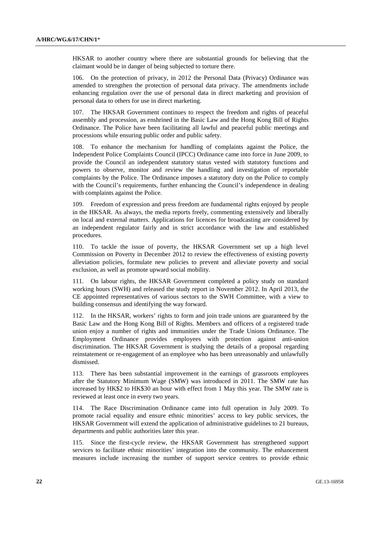HKSAR to another country where there are substantial grounds for believing that the claimant would be in danger of being subjected to torture there.

106. On the protection of privacy, in 2012 the Personal Data (Privacy) Ordinance was amended to strengthen the protection of personal data privacy. The amendments include enhancing regulation over the use of personal data in direct marketing and provision of personal data to others for use in direct marketing.

107. The HKSAR Government continues to respect the freedom and rights of peaceful assembly and procession, as enshrined in the Basic Law and the Hong Kong Bill of Rights Ordinance. The Police have been facilitating all lawful and peaceful public meetings and processions while ensuring public order and public safety.

108. To enhance the mechanism for handling of complaints against the Police, the Independent Police Complaints Council (IPCC) Ordinance came into force in June 2009, to provide the Council an independent statutory status vested with statutory functions and powers to observe, monitor and review the handling and investigation of reportable complaints by the Police. The Ordinance imposes a statutory duty on the Police to comply with the Council's requirements, further enhancing the Council's independence in dealing with complaints against the Police.

109. Freedom of expression and press freedom are fundamental rights enjoyed by people in the HKSAR. As always, the media reports freely, commenting extensively and liberally on local and external matters. Applications for licences for broadcasting are considered by an independent regulator fairly and in strict accordance with the law and established procedures.

110. To tackle the issue of poverty, the HKSAR Government set up a high level Commission on Poverty in December 2012 to review the effectiveness of existing poverty alleviation policies, formulate new policies to prevent and alleviate poverty and social exclusion, as well as promote upward social mobility.

111. On labour rights, the HKSAR Government completed a policy study on standard working hours (SWH) and released the study report in November 2012. In April 2013, the CE appointed representatives of various sectors to the SWH Committee, with a view to building consensus and identifying the way forward.

112. In the HKSAR, workers' rights to form and join trade unions are guaranteed by the Basic Law and the Hong Kong Bill of Rights. Members and officers of a registered trade union enjoy a number of rights and immunities under the Trade Unions Ordinance. The Employment Ordinance provides employees with protection against anti-union discrimination. The HKSAR Government is studying the details of a proposal regarding reinstatement or re-engagement of an employee who has been unreasonably and unlawfully dismissed.

113. There has been substantial improvement in the earnings of grassroots employees after the Statutory Minimum Wage (SMW) was introduced in 2011. The SMW rate has increased by HK\$2 to HK\$30 an hour with effect from 1 May this year. The SMW rate is reviewed at least once in every two years.

114. The Race Discrimination Ordinance came into full operation in July 2009. To promote racial equality and ensure ethnic minorities' access to key public services, the HKSAR Government will extend the application of administrative guidelines to 21 bureaus, departments and public authorities later this year.

115. Since the first-cycle review, the HKSAR Government has strengthened support services to facilitate ethnic minorities' integration into the community. The enhancement measures include increasing the number of support service centres to provide ethnic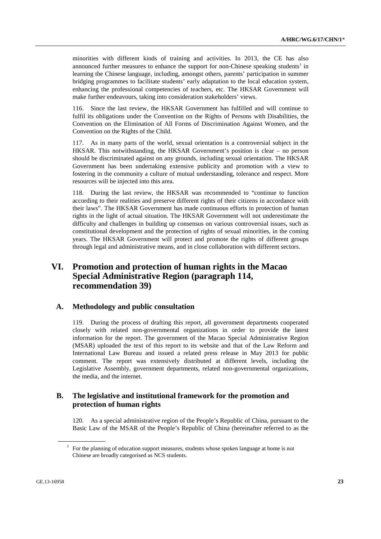minorities with different kinds of training and activities. In 2013, the CE has also announced further measures to enhance the support for non-Chinese speaking students<sup>1</sup> in learning the Chinese language, including, amongst others, parents' participation in summer bridging programmes to facilitate students' early adaptation to the local education system, enhancing the professional competencies of teachers, etc. The HKSAR Government will make further endeavours, taking into consideration stakeholders' views.

116. Since the last review, the HKSAR Government has fulfilled and will continue to fulfil its obligations under the Convention on the Rights of Persons with Disabilities, the Convention on the Elimination of All Forms of Discrimination Against Women, and the Convention on the Rights of the Child.

117. As in many parts of the world, sexual orientation is a controversial subject in the HKSAR. This notwithstanding, the HKSAR Government's position is clear – no person should be discriminated against on any grounds, including sexual orientation. The HKSAR Government has been undertaking extensive publicity and promotion with a view to fostering in the community a culture of mutual understanding, tolerance and respect. More resources will be injected into this area.

118. During the last review, the HKSAR was recommended to "continue to function according to their realities and preserve different rights of their citizens in accordance with their laws". The HKSAR Government has made continuous efforts in protection of human rights in the light of actual situation. The HKSAR Government will not underestimate the difficulty and challenges in building up consensus on various controversial issues, such as constitutional development and the protection of rights of sexual minorities, in the coming years. The HKSAR Government will protect and promote the rights of different groups through legal and administrative means, and in close collaboration with different sectors.

## **VI. Promotion and protection of human rights in the Macao Special Administrative Region (paragraph 114, recommendation 39)**

## **A. Methodology and public consultation**

119. During the process of drafting this report, all government departments cooperated closely with related non-governmental organizations in order to provide the latest information for the report. The government of the Macao Special Administrative Region (MSAR) uploaded the text of this report to its website and that of the Law Reform and International Law Bureau and issued a related press release in May 2013 for public comment. The report was extensively distributed at different levels, including the Legislative Assembly, government departments, related non-governmental organizations, the media, and the internet.

## **B. The legislative and institutional framework for the promotion and protection of human rights**

120. As a special administrative region of the People's Republic of China, pursuant to the Basic Law of the MSAR of the People's Republic of China (hereinafter referred to as the

<sup>&</sup>lt;sup>1</sup> For the planning of education support measures, students whose spoken language at home is not Chinese are broadly categorised as NCS students.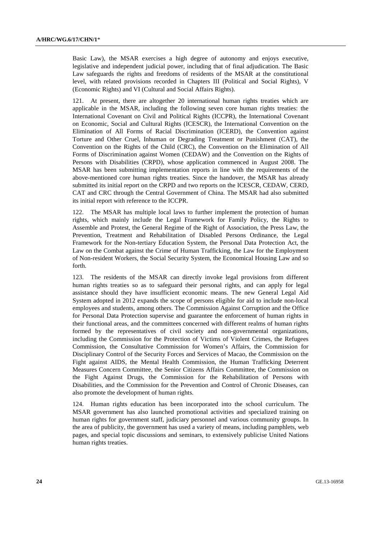Basic Law), the MSAR exercises a high degree of autonomy and enjoys executive, legislative and independent judicial power, including that of final adjudication. The Basic Law safeguards the rights and freedoms of residents of the MSAR at the constitutional level, with related provisions recorded in Chapters III (Political and Social Rights), V (Economic Rights) and VI (Cultural and Social Affairs Rights).

At present, there are altogether 20 international human rights treaties which are applicable in the MSAR, including the following seven core human rights treaties: the International Covenant on Civil and Political Rights (ICCPR), the International Covenant on Economic, Social and Cultural Rights (ICESCR), the International Convention on the Elimination of All Forms of Racial Discrimination (ICERD), the Convention against Torture and Other Cruel, Inhuman or Degrading Treatment or Punishment (CAT), the Convention on the Rights of the Child (CRC), the Convention on the Elimination of All Forms of Discrimination against Women (CEDAW) and the Convention on the Rights of Persons with Disabilities (CRPD), whose application commenced in August 2008. The MSAR has been submitting implementation reports in line with the requirements of the above-mentioned core human rights treaties. Since the handover, the MSAR has already submitted its initial report on the CRPD and two reports on the ICESCR, CEDAW, CERD, CAT and CRC through the Central Government of China. The MSAR had also submitted its initial report with reference to the ICCPR.

122. The MSAR has multiple local laws to further implement the protection of human rights, which mainly include the Legal Framework for Family Policy, the Rights to Assemble and Protest, the General Regime of the Right of Association, the Press Law, the Prevention, Treatment and Rehabilitation of Disabled Persons Ordinance, the Legal Framework for the Non-tertiary Education System, the Personal Data Protection Act, the Law on the Combat against the Crime of Human Trafficking, the Law for the Employment of Non-resident Workers, the Social Security System, the Economical Housing Law and so forth.

123. The residents of the MSAR can directly invoke legal provisions from different human rights treaties so as to safeguard their personal rights, and can apply for legal assistance should they have insufficient economic means. The new General Legal Aid System adopted in 2012 expands the scope of persons eligible for aid to include non-local employees and students, among others. The Commission Against Corruption and the Office for Personal Data Protection supervise and guarantee the enforcement of human rights in their functional areas, and the committees concerned with different realms of human rights formed by the representatives of civil society and non-governmental organizations, including the Commission for the Protection of Victims of Violent Crimes, the Refugees Commission, the Consultative Commission for Women's Affairs, the Commission for Disciplinary Control of the Security Forces and Services of Macao, the Commission on the Fight against AIDS, the Mental Health Commission, the Human Trafficking Deterrent Measures Concern Committee, the Senior Citizens Affairs Committee, the Commission on the Fight Against Drugs, the Commission for the Rehabilitation of Persons with Disabilities, and the Commission for the Prevention and Control of Chronic Diseases, can also promote the development of human rights.

124. Human rights education has been incorporated into the school curriculum. The MSAR government has also launched promotional activities and specialized training on human rights for government staff, judiciary personnel and various community groups. In the area of publicity, the government has used a variety of means, including pamphlets, web pages, and special topic discussions and seminars, to extensively publicise United Nations human rights treaties.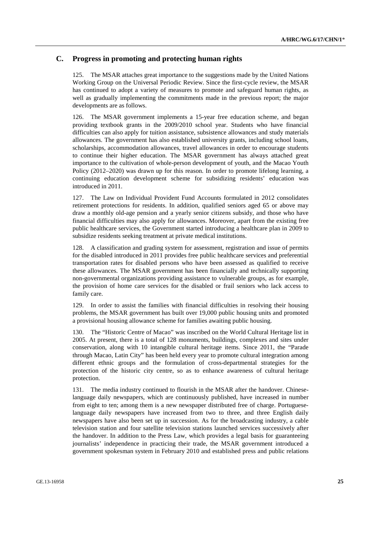## **C. Progress in promoting and protecting human rights**

125. The MSAR attaches great importance to the suggestions made by the United Nations Working Group on the Universal Periodic Review. Since the first-cycle review, the MSAR has continued to adopt a variety of measures to promote and safeguard human rights, as well as gradually implementing the commitments made in the previous report; the major developments are as follows.

126. The MSAR government implements a 15-year free education scheme, and began providing textbook grants in the 2009/2010 school year. Students who have financial difficulties can also apply for tuition assistance, subsistence allowances and study materials allowances. The government has also established university grants, including school loans, scholarships, accommodation allowances, travel allowances in order to encourage students to continue their higher education. The MSAR government has always attached great importance to the cultivation of whole-person development of youth, and the Macao Youth Policy (2012–2020) was drawn up for this reason. In order to promote lifelong learning, a continuing education development scheme for subsidizing residents' education was introduced in 2011.

127. The Law on Individual Provident Fund Accounts formulated in 2012 consolidates retirement protections for residents. In addition, qualified seniors aged 65 or above may draw a monthly old-age pension and a yearly senior citizens subsidy, and those who have financial difficulties may also apply for allowances. Moreover, apart from the existing free public healthcare services, the Government started introducing a healthcare plan in 2009 to subsidize residents seeking treatment at private medical institutions.

128. A classification and grading system for assessment, registration and issue of permits for the disabled introduced in 2011 provides free public healthcare services and preferential transportation rates for disabled persons who have been assessed as qualified to receive these allowances. The MSAR government has been financially and technically supporting non-governmental organizations providing assistance to vulnerable groups, as for example, the provision of home care services for the disabled or frail seniors who lack access to family care.

129. In order to assist the families with financial difficulties in resolving their housing problems, the MSAR government has built over 19,000 public housing units and promoted a provisional housing allowance scheme for families awaiting public housing.

130. The "Historic Centre of Macao" was inscribed on the World Cultural Heritage list in 2005. At present, there is a total of 128 monuments, buildings, complexes and sites under conservation, along with 10 intangible cultural heritage items. Since 2011, the "Parade through Macao, Latin City" has been held every year to promote cultural integration among different ethnic groups and the formulation of cross-departmental strategies for the protection of the historic city centre, so as to enhance awareness of cultural heritage protection.

131. The media industry continued to flourish in the MSAR after the handover. Chineselanguage daily newspapers, which are continuously published, have increased in number from eight to ten; among them is a new newspaper distributed free of charge. Portugueselanguage daily newspapers have increased from two to three, and three English daily newspapers have also been set up in succession. As for the broadcasting industry, a cable television station and four satellite television stations launched services successively after the handover. In addition to the Press Law, which provides a legal basis for guaranteeing journalists' independence in practicing their trade, the MSAR government introduced a government spokesman system in February 2010 and established press and public relations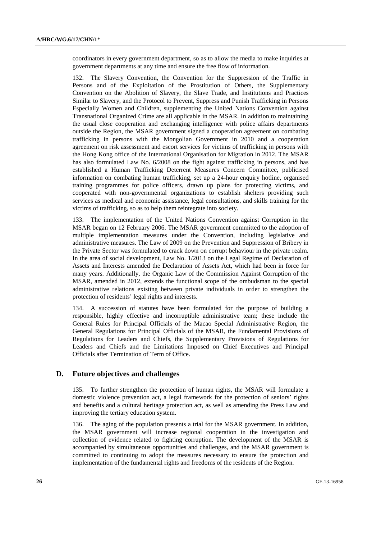coordinators in every government department, so as to allow the media to make inquiries at government departments at any time and ensure the free flow of information.

132. The Slavery Convention, the Convention for the Suppression of the Traffic in Persons and of the Exploitation of the Prostitution of Others, the Supplementary Convention on the Abolition of Slavery, the Slave Trade, and Institutions and Practices Similar to Slavery, and the Protocol to Prevent, Suppress and Punish Trafficking in Persons Especially Women and Children, supplementing the United Nations Convention against Transnational Organized Crime are all applicable in the MSAR. In addition to maintaining the usual close cooperation and exchanging intelligence with police affairs departments outside the Region, the MSAR government signed a cooperation agreement on combating trafficking in persons with the Mongolian Government in 2010 and a cooperation agreement on risk assessment and escort services for victims of trafficking in persons with the Hong Kong office of the International Organisation for Migration in 2012. The MSAR has also formulated Law No. 6/2008 on the fight against trafficking in persons, and has established a Human Trafficking Deterrent Measures Concern Committee, publicised information on combating human trafficking, set up a 24-hour enquiry hotline, organised training programmes for police officers, drawn up plans for protecting victims, and cooperated with non-governmental organizations to establish shelters providing such services as medical and economic assistance, legal consultations, and skills training for the victims of trafficking, so as to help them reintegrate into society.

133. The implementation of the United Nations Convention against Corruption in the MSAR began on 12 February 2006. The MSAR government committed to the adoption of multiple implementation measures under the Convention, including legislative and administrative measures. The Law of 2009 on the Prevention and Suppression of Bribery in the Private Sector was formulated to crack down on corrupt behaviour in the private realm. In the area of social development, Law No. 1/2013 on the Legal Regime of Declaration of Assets and Interests amended the Declaration of Assets Act, which had been in force for many years. Additionally, the Organic Law of the Commission Against Corruption of the MSAR, amended in 2012, extends the functional scope of the ombudsman to the special administrative relations existing between private individuals in order to strengthen the protection of residents' legal rights and interests.

134. A succession of statutes have been formulated for the purpose of building a responsible, highly effective and incorruptible administrative team; these include the General Rules for Principal Officials of the Macao Special Administrative Region, the General Regulations for Principal Officials of the MSAR, the Fundamental Provisions of Regulations for Leaders and Chiefs, the Supplementary Provisions of Regulations for Leaders and Chiefs and the Limitations Imposed on Chief Executives and Principal Officials after Termination of Term of Office.

## **D. Future objectives and challenges**

135. To further strengthen the protection of human rights, the MSAR will formulate a domestic violence prevention act, a legal framework for the protection of seniors' rights and benefits and a cultural heritage protection act, as well as amending the Press Law and improving the tertiary education system.

136. The aging of the population presents a trial for the MSAR government. In addition, the MSAR government will increase regional cooperation in the investigation and collection of evidence related to fighting corruption. The development of the MSAR is accompanied by simultaneous opportunities and challenges, and the MSAR government is committed to continuing to adopt the measures necessary to ensure the protection and implementation of the fundamental rights and freedoms of the residents of the Region.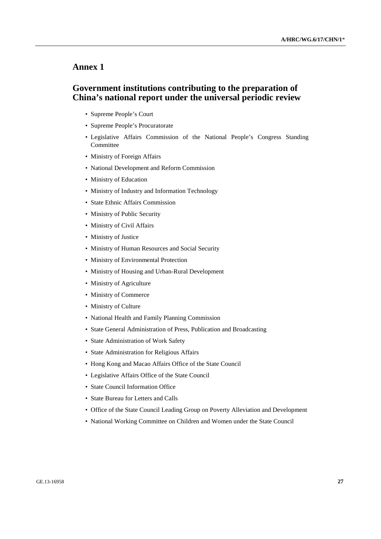## **Annex 1**

## **Government institutions contributing to the preparation of China's national report under the universal periodic review**

- Supreme People's Court
- Supreme People's Procuratorate
- Legislative Affairs Commission of the National People's Congress Standing **Committee**
- Ministry of Foreign Affairs
- National Development and Reform Commission
- Ministry of Education
- Ministry of Industry and Information Technology
- State Ethnic Affairs Commission
- Ministry of Public Security
- Ministry of Civil Affairs
- Ministry of Justice
- Ministry of Human Resources and Social Security
- Ministry of Environmental Protection
- Ministry of Housing and Urban-Rural Development
- Ministry of Agriculture
- Ministry of Commerce
- Ministry of Culture
- National Health and Family Planning Commission
- State General Administration of Press, Publication and Broadcasting
- State Administration of Work Safety
- State Administration for Religious Affairs
- Hong Kong and Macao Affairs Office of the State Council
- Legislative Affairs Office of the State Council
- State Council Information Office
- State Bureau for Letters and Calls
- Office of the State Council Leading Group on Poverty Alleviation and Development
- National Working Committee on Children and Women under the State Council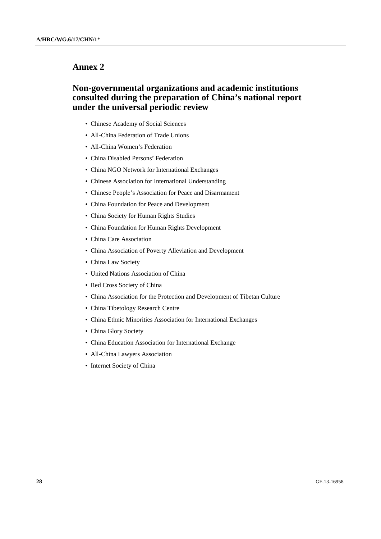## **Annex 2**

## **Non-governmental organizations and academic institutions consulted during the preparation of China's national report under the universal periodic review**

- Chinese Academy of Social Sciences
- All-China Federation of Trade Unions
- All-China Women's Federation
- China Disabled Persons' Federation
- China NGO Network for International Exchanges
- Chinese Association for International Understanding
- Chinese People's Association for Peace and Disarmament
- China Foundation for Peace and Development
- China Society for Human Rights Studies
- China Foundation for Human Rights Development
- China Care Association
- China Association of Poverty Alleviation and Development
- China Law Society
- United Nations Association of China
- Red Cross Society of China
- China Association for the Protection and Development of Tibetan Culture
- China Tibetology Research Centre
- China Ethnic Minorities Association for International Exchanges
- China Glory Society
- China Education Association for International Exchange
- All-China Lawyers Association
- Internet Society of China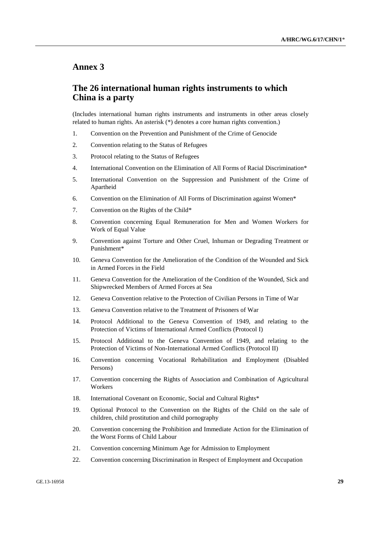## **Annex 3**

## **The 26 international human rights instruments to which China is a party**

(Includes international human rights instruments and instruments in other areas closely related to human rights. An asterisk (\*) denotes a core human rights convention.)

- 1. Convention on the Prevention and Punishment of the Crime of Genocide
- 2. Convention relating to the Status of Refugees
- 3. Protocol relating to the Status of Refugees
- 4. International Convention on the Elimination of All Forms of Racial Discrimination\*
- 5. International Convention on the Suppression and Punishment of the Crime of Apartheid
- 6. Convention on the Elimination of All Forms of Discrimination against Women\*
- 7. Convention on the Rights of the Child\*
- 8. Convention concerning Equal Remuneration for Men and Women Workers for Work of Equal Value
- 9. Convention against Torture and Other Cruel, Inhuman or Degrading Treatment or Punishment\*
- 10. Geneva Convention for the Amelioration of the Condition of the Wounded and Sick in Armed Forces in the Field
- 11. Geneva Convention for the Amelioration of the Condition of the Wounded, Sick and Shipwrecked Members of Armed Forces at Sea
- 12. Geneva Convention relative to the Protection of Civilian Persons in Time of War
- 13. Geneva Convention relative to the Treatment of Prisoners of War
- 14. Protocol Additional to the Geneva Convention of 1949, and relating to the Protection of Victims of International Armed Conflicts (Protocol I)
- 15. Protocol Additional to the Geneva Convention of 1949, and relating to the Protection of Victims of Non-International Armed Conflicts (Protocol II)
- 16. Convention concerning Vocational Rehabilitation and Employment (Disabled Persons)
- 17. Convention concerning the Rights of Association and Combination of Agricultural Workers
- 18. International Covenant on Economic, Social and Cultural Rights\*
- 19. Optional Protocol to the Convention on the Rights of the Child on the sale of children, child prostitution and child pornography
- 20. Convention concerning the Prohibition and Immediate Action for the Elimination of the Worst Forms of Child Labour
- 21. Convention concerning Minimum Age for Admission to Employment
- 22. Convention concerning Discrimination in Respect of Employment and Occupation